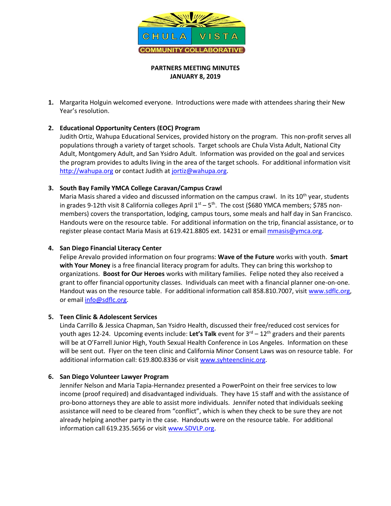

## **PARTNERS MEETING MINUTES JANUARY 8, 2019**

**1.** Margarita Holguin welcomed everyone. Introductions were made with attendees sharing their New Year's resolution.

# **2. Educational Opportunity Centers (EOC) Program**

Judith Ortiz, Wahupa Educational Services, provided history on the program. This non-profit serves all populations through a variety of target schools. Target schools are Chula Vista Adult, National City Adult, Montgomery Adult, and San Ysidro Adult. Information was provided on the goal and services the program provides to adults living in the area of the target schools. For additional information visit [http://wahupa.org](http://wahupa.org/) or contact Judith at [jortiz@wahupa.org.](mailto:jortiz@wahupa.org)

## **3. South Bay Family YMCA College Caravan/Campus Crawl**

Maria Masis shared a video and discussed information on the campus crawl. In its  $10<sup>th</sup>$  year, students in grades 9-12th visit 8 California colleges April 1<sup>st</sup> – 5<sup>th</sup>. The cost (\$680 YMCA members; \$785 nonmembers) covers the transportation, lodging, campus tours, some meals and half day in San Francisco. Handouts were on the resource table. For additional information on the trip, financial assistance, or to register please contact Maria Masis at 619.421.8805 ext. 14231 or email [mmasis@ymca.org.](mailto:mmasis@ymca.org)

## **4. San Diego Financial Literacy Center**

Felipe Arevalo provided information on four programs: **Wave of the Future** works with youth. **Smart with Your Money** is a free financial literacy program for adults. They can bring this workshop to organizations. **Boost for Our Heroes** works with military families. Felipe noted they also received a grant to offer financial opportunity classes. Individuals can meet with a financial planner one-on-one. Handout was on the resource table. For additional information call 858.810.7007, visit [www.sdflc.org,](http://www.sdflc.org/) or email [info@sdflc.org.](mailto:info@sdflc.org)

## **5. Teen Clinic & Adolescent Services**

Linda Carrillo & Jessica Chapman, San Ysidro Health, discussed their free/reduced cost services for youth ages 12-24. Upcoming events include: Let's Talk event for 3<sup>rd</sup> – 12<sup>th</sup> graders and their parents will be at O'Farrell Junior High, Youth Sexual Health Conference in Los Angeles. Information on these will be sent out. Flyer on the teen clinic and California Minor Consent Laws was on resource table. For additional information call: 619.800.8336 or visit [www.syhteenclinic.org.](http://www.syhteenclinic.org/)

## **6. San Diego Volunteer Lawyer Program**

Jennifer Nelson and Maria Tapia-Hernandez presented a PowerPoint on their free services to low income (proof required) and disadvantaged individuals. They have 15 staff and with the assistance of pro-bono attorneys they are able to assist more individuals. Jennifer noted that individuals seeking assistance will need to be cleared from "conflict", which is when they check to be sure they are not already helping another party in the case. Handouts were on the resource table. For additional information call 619.235.5656 or visit [www.SDVLP.org.](http://www.sdvlp.org/)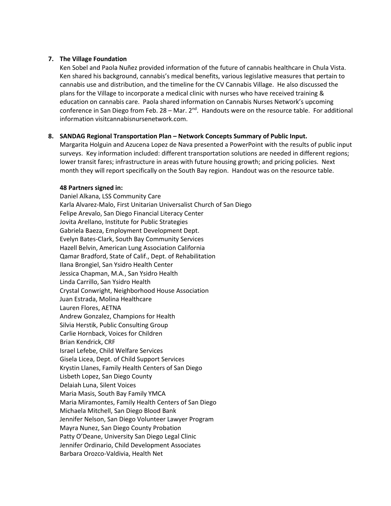#### **7. The Village Foundation**

Ken Sobel and Paola Nuñez provided information of the future of cannabis healthcare in Chula Vista. Ken shared his background, cannabis's medical benefits, various legislative measures that pertain to cannabis use and distribution, and the timeline for the CV Cannabis Village. He also discussed the plans for the Village to incorporate a medical clinic with nurses who have received training & education on cannabis care. Paola shared information on Cannabis Nurses Network's upcoming conference in San Diego from Feb. 28 – Mar.  $2^{nd}$ . Handouts were on the resource table. For additional information visitcannabisnursenetwork.com.

#### **8. SANDAG Regional Transportation Plan – Network Concepts Summary of Public Input.**

Margarita Holguin and Azucena Lopez de Nava presented a PowerPoint with the results of public input surveys. Key information included: different transportation solutions are needed in different regions; lower transit fares; infrastructure in areas with future housing growth; and pricing policies. Next month they will report specifically on the South Bay region. Handout was on the resource table.

#### **48 Partners signed in:**

Daniel Alkana, LSS Community Care Karla Alvarez-Malo, First Unitarian Universalist Church of San Diego Felipe Arevalo, San Diego Financial Literacy Center Jovita Arellano, Institute for Public Strategies Gabriela Baeza, Employment Development Dept. Evelyn Bates-Clark, South Bay Community Services Hazell Belvin, American Lung Association California Qamar Bradford, State of Calif., Dept. of Rehabilitation Ilana Brongiel, San Ysidro Health Center Jessica Chapman, M.A., San Ysidro Health Linda Carrillo, San Ysidro Health Crystal Conwright, Neighborhood House Association Juan Estrada, Molina Healthcare Lauren Flores, AETNA Andrew Gonzalez, Champions for Health Silvia Herstik, Public Consulting Group Carlie Hornback, Voices for Children Brian Kendrick, CRF Israel Lefebe, Child Welfare Services Gisela Licea, Dept. of Child Support Services Krystin Llanes, Family Health Centers of San Diego Lisbeth Lopez, San Diego County Delaiah Luna, Silent Voices Maria Masis, South Bay Family YMCA Maria Miramontes, Family Health Centers of San Diego Michaela Mitchell, San Diego Blood Bank Jennifer Nelson, San Diego Volunteer Lawyer Program Mayra Nunez, San Diego County Probation Patty O'Deane, University San Diego Legal Clinic Jennifer Ordinario, Child Development Associates Barbara Orozco-Valdivia, Health Net